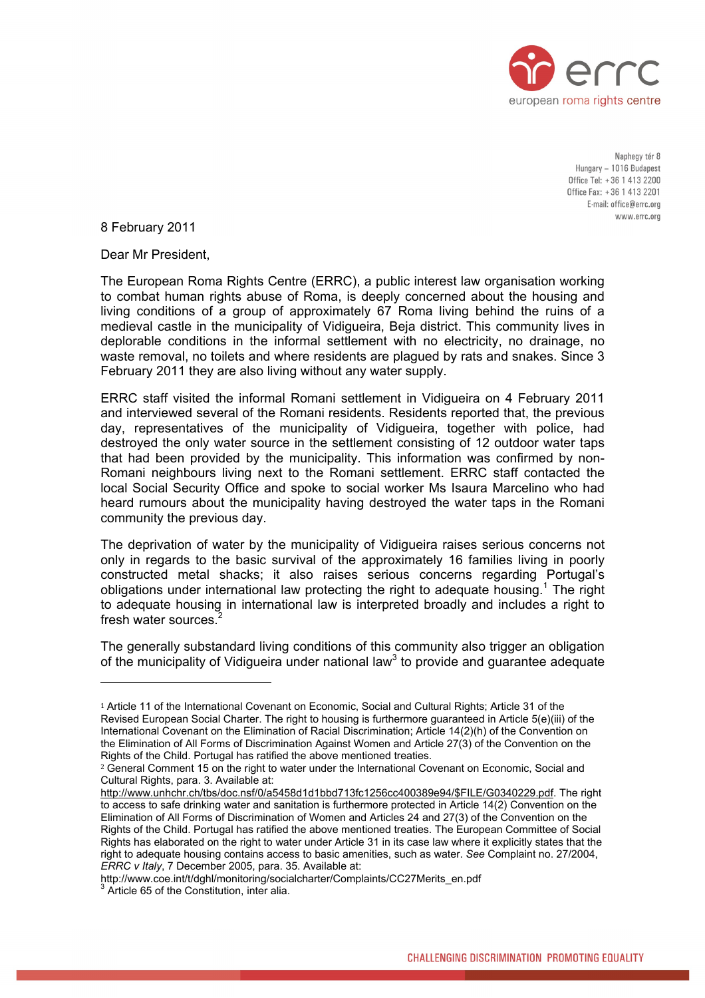

Naphegy tér 8 Hungary - 1016 Budapest Office Tel: +36 1 413 2200 Office Fax: +36 1 413 2201 E-mail: office@errc.org www.errc.org

8 February 2011

Dear Mr President,

The European Roma Rights Centre (ERRC), a public interest law organisation working to combat human rights abuse of Roma, is deeply concerned about the housing and living conditions of a group of approximately 67 Roma living behind the ruins of a medieval castle in the municipality of Vidigueira, Beja district. This community lives in deplorable conditions in the informal settlement with no electricity, no drainage, no waste removal, no toilets and where residents are plagued by rats and snakes. Since 3 February 2011 they are also living without any water supply.

ERRC staff visited the informal Romani settlement in Vidigueira on 4 February 2011 and interviewed several of the Romani residents. Residents reported that, the previous day, representatives of the municipality of Vidigueira, together with police, had destroyed the only water source in the settlement consisting of 12 outdoor water taps that had been provided by the municipality. This information was confirmed by non-Romani neighbours living next to the Romani settlement. ERRC staff contacted the local Social Security Office and spoke to social worker Ms Isaura Marcelino who had heard rumours about the municipality having destroyed the water taps in the Romani community the previous day.

The deprivation of water by the municipality of Vidigueira raises serious concerns not only in regards to the basic survival of the approximately 16 families living in poorly constructed metal shacks; it also raises serious concerns regarding Portugal's obligationsunder international law protecting the right to adequate housing.<sup>1</sup> The right to adequate housing in international law is interpreted broadly and includes a right to fresh water sources.

The generally substandard liv ing conditions of this community also trigger an obligation of the municipality of Vidigueira under national law<sup>[3](#page-0-2)</sup> to provide and guarantee adequate

<span id="page-0-0"></span><sup>1</sup> Article 11 of the International Covenant on Economic, Social and Cultural Rights; Article 31 of the Revised European Social Charter. The right to housing is furthermore guaranteed in Article 5(e)(iii) of the International Covenant on the Elimination of Racial Discrimination; Article 14(2)(h) of the Convention on the Elimination of All Forms of Discrimination Against Women and Article 27(3) of the Convention on the Rights of the Child. Portugal has ratified the above mentioned treaties.

<span id="page-0-1"></span><sup>&</sup>lt;sup>2</sup> General Comment 15 on the right to water under the International Covenant on Economic, Social and Cultural Rights, para. 3. Available at:

[http://www.unhchr.ch/tbs/doc.nsf/0/a5458d1d1bbd713fc1256cc400389e94/\\$FILE/G0340229.pdf](http://www.unhchr.ch/tbs/doc.nsf/0/a5458d1d1bbd713fc1256cc400389e94/$FILE/G0340229.pdf). The right to access to safe drinking water and sanitation is furthermore protected in Article 14(2) Convention on the Elimination of All Forms of Discrimination of Women and Articles 24 and 27(3) of the Convention on the Rights of the Child. Portugal has ratified the above mentioned treaties. The European Committee of Social Rights has elaborated on the right to water under Article 31 in its case law where it explicitly states that the right to adequate housing contains access to basic amenities, such as water. *See* Complaint no. 27/2004, *ERRC v Italy*, 7 December 2005, para. 35. Available at:

<span id="page-0-2"></span>http://www.coe.int/t/dghl/monitoring/socialcharter/Complaints/CC27Merits\_en.pdf 3  $3$  Article 65 of the Constitution, inter alia.